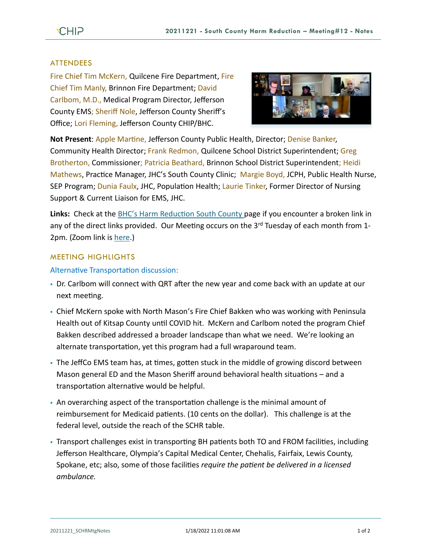## **ATTENDEES**

Fire Chief Tim McKern, Quilcene Fire Department, Fire Chief Tim Manly, Brinnon Fire Department; David Carlbom, M.D., Medical Program Director, Jefferson County EMS; Sheriff Nole, Jefferson County Sheriff's Office; Lori Fleming, Jefferson County CHIP/BHC.



**Not Present**: Apple Martine, Jefferson County Public Health, Director; Denise Banker, Community Health Director; Frank Redmon, Quilcene School District Superintendent; Greg Brotherton, Commissioner; Patricia Beathard, Brinnon School District Superintendent; Heidi Mathews, Practice Manager, JHC's South County Clinic; Margie Boyd, JCPH, Public Health Nurse, SEP Program; Dunia Faulx, JHC, Population Health; Laurie Tinker, Former Director of Nursing Support & Current Liaison for EMS, JHC.

**Links:** Check at the [BHC's Harm Reduction South County p](https://www.behealthyjefferson.com/bhcharmreduction)age if you encounter a broken link in any of the direct links provided. Our Meeting occurs on the 3<sup>rd</sup> Tuesday of each month from 1-2pm. (Zoom link is [here.](https://zoom.us/j/97908186807?pwd=QTFtTTNJRkFnRzJwZ1poK2lvcWxUdz09))

# MEETING HIGHLIGHTS

#### Alternative Transportation discussion:

- Dr. Carlbom will connect with QRT after the new year and come back with an update at our next meeting.
- Chief McKern spoke with North Mason's Fire Chief Bakken who was working with Peninsula Health out of Kitsap County until COVID hit. McKern and Carlbom noted the program Chief Bakken described addressed a broader landscape than what we need. We're looking an alternate transportation, yet this program had a full wraparound team.
- The JeffCo EMS team has, at times, gotten stuck in the middle of growing discord between Mason general ED and the Mason Sheriff around behavioral health situations – and a transportation alternative would be helpful.
- An overarching aspect of the transportation challenge is the minimal amount of reimbursement for Medicaid patients. (10 cents on the dollar). This challenge is at the federal level, outside the reach of the SCHR table.
- Transport challenges exist in transporting BH patients both TO and FROM facilities, including Jefferson Healthcare, Olympia's Capital Medical Center, Chehalis, Fairfaix, Lewis County, Spokane, etc; also, some of those facilities *require the patient be delivered in a licensed ambulance.*